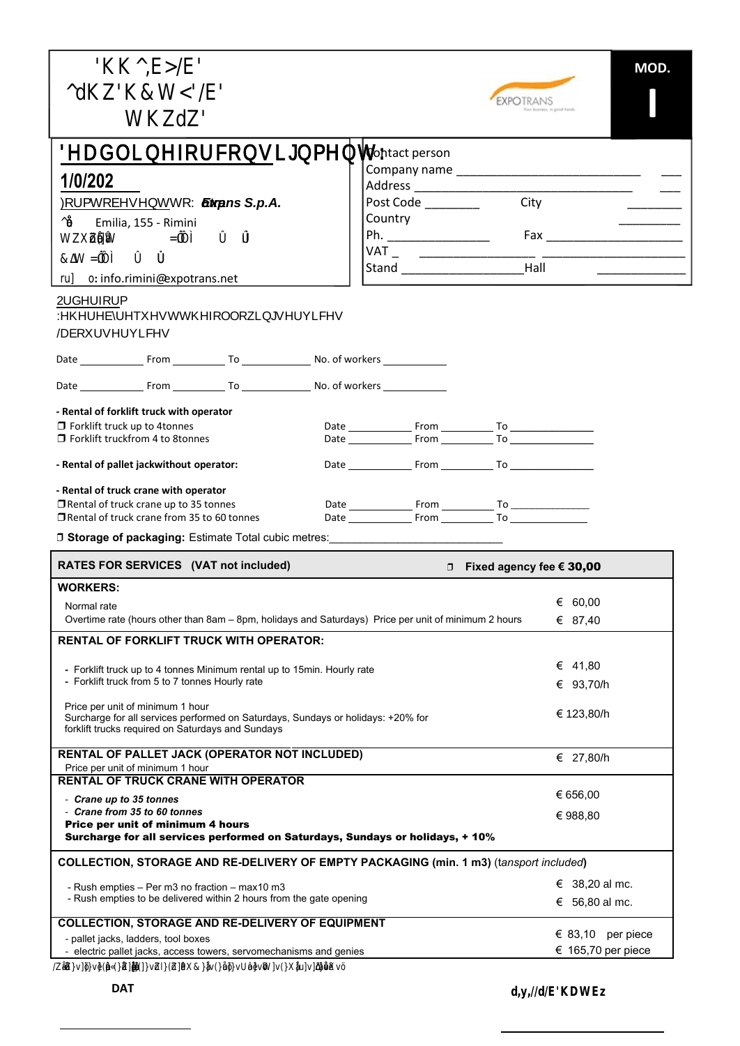|                                                                                                                       | MOD.<br>EXPOTRANS                   |
|-----------------------------------------------------------------------------------------------------------------------|-------------------------------------|
| Deadline for consignment:                                                                                             |                                     |
|                                                                                                                       |                                     |
| 1/0/202                                                                                                               |                                     |
| <b>WExp</b><br><b>Sand S.P.A.</b> otrans S.p.A.                                                                       |                                     |
| Æ<br>Emilia, 155 - Rimini<br>₩<br>$\delta$ $\delta$<br>ã                                                              |                                     |
| $\delta$ $\delta$<br>W                                                                                                |                                     |
| o: info.rimini@expotrans.net<br>ħ                                                                                     |                                     |
|                                                                                                                       |                                     |
|                                                                                                                       |                                     |
|                                                                                                                       |                                     |
|                                                                                                                       |                                     |
|                                                                                                                       |                                     |
| - Rental of forklift truck with operator                                                                              |                                     |
| □ Forklift truck up to 4tonnes<br>$\Box$ Forklift truckfrom 4 to 8 tonnes                                             | Date From To                        |
|                                                                                                                       |                                     |
| - Rental of pallet jackwithout operator:                                                                              |                                     |
| - Rental of truck crane with operator                                                                                 |                                     |
| $\Box$ Rental of truck crane up to 35 tonnes<br>□ Rental of truck crane from 35 to 60 tonnes                          |                                     |
| <b>D Storage of packaging: Estimate Total cubic metres:</b> ___________________________                               |                                     |
| RATES FOR SERVICES (VAT not included)                                                                                 | □ Fixed agency fee $\epsilon$ 30,00 |
| <b>WORKERS:</b>                                                                                                       |                                     |
| Normal rate                                                                                                           | € 60,00                             |
| Overtime rate (hours other than 8am - 8pm, holidays and Saturdays) Price per unit of minimum 2 hours                  | € 87,40                             |
| <b>RENTAL OF FORKLIFT TRUCK WITH OPERATOR:</b>                                                                        |                                     |
| - Forklift truck up to 4 tonnes Minimum rental up to 15min. Hourly rate                                               | € 41,80                             |
| - Forklift truck from 5 to 7 tonnes Hourly rate                                                                       | € 93,70/h                           |
| Price per unit of minimum 1 hour<br>Surcharge for all services performed on Saturdays, Sundays or holidays: +20% for  | € 123,80/h                          |
| forklift trucks required on Saturdays and Sundays                                                                     |                                     |
| <b>RENTAL OF PALLET JACK (OPERATOR NOT INCLUDED)</b>                                                                  | € 27,80/h                           |
| Price per unit of minimum 1 hour                                                                                      |                                     |
| <b>RENTAL OF TRUCK CRANE WITH OPERATOR</b><br>- Crane up to 35 tonnes                                                 | € 656,00                            |
| - Crane from 35 to 60 tonnes                                                                                          | € 988,80                            |
| Price per unit of minimum 4 hours<br>Surcharge for all services performed on Saturdays, Sundays or holidays, + 10%    |                                     |
|                                                                                                                       |                                     |
| COLLECTION, STORAGE AND RE-DELIVERY OF EMPTY PACKAGING (min. 1 m3) (tansport included)                                |                                     |
| - Rush empties - Per m3 no fraction - max10 m3<br>- Rush empties to be delivered within 2 hours from the gate opening | € 38,20 al mc.                      |
|                                                                                                                       | € 56,80 al mc.                      |
| <b>COLLECTION, STORAGE AND RE-DELIVERY OF EQUIPMENT</b><br>- pallet jacks, ladders, tool boxes                        | $\epsilon$ 83,10 per piece          |
| - electric pallet jacks, access towers, servomechanisms and genies                                                    | € 165,70 per piece                  |
|                                                                                                                       | C                                   |

**DAT** d,y,*dE*